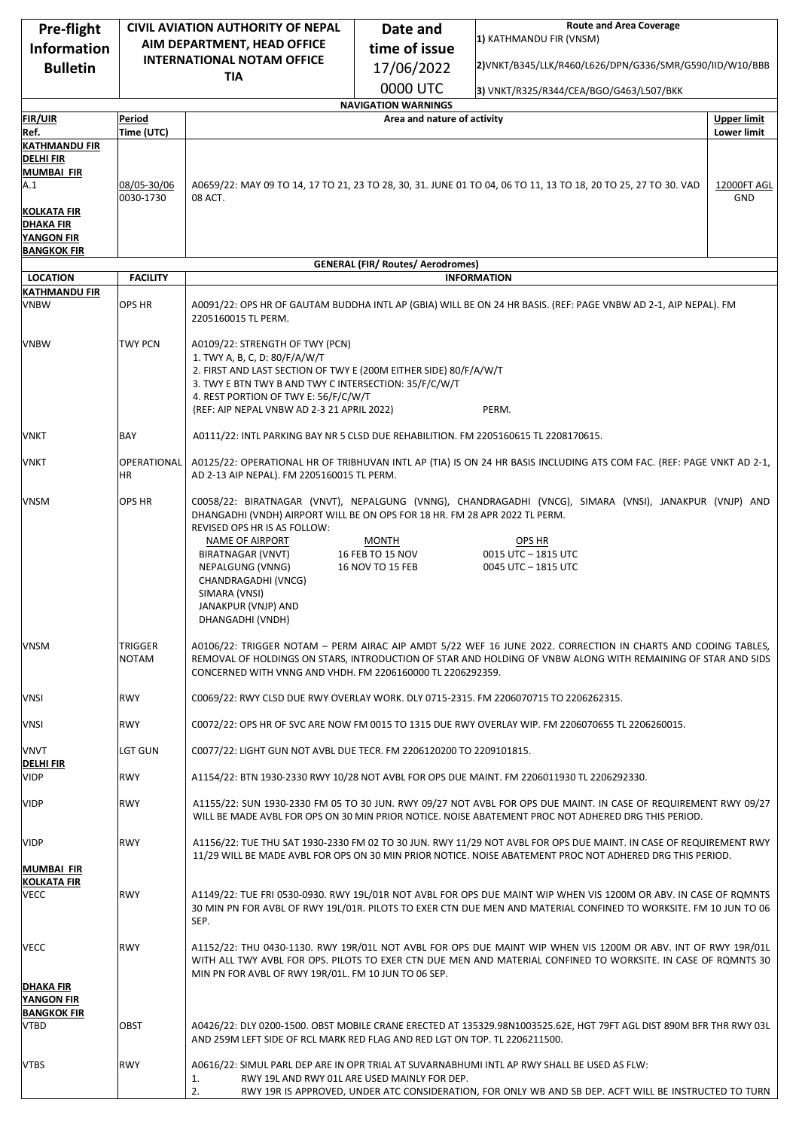| Pre-flight                               | <b>CIVIL AVIATION AUTHORITY OF NEPAL</b> |                                                                                                                                                                                      | Date and                                 | <b>Route and Area Coverage</b>                                                                                       |                    |
|------------------------------------------|------------------------------------------|--------------------------------------------------------------------------------------------------------------------------------------------------------------------------------------|------------------------------------------|----------------------------------------------------------------------------------------------------------------------|--------------------|
| <b>Information</b>                       | AIM DEPARTMENT, HEAD OFFICE              |                                                                                                                                                                                      | time of issue                            | 1) KATHMANDU FIR (VNSM)                                                                                              |                    |
| <b>Bulletin</b>                          |                                          | <b>INTERNATIONAL NOTAM OFFICE</b>                                                                                                                                                    | 17/06/2022                               | 2) VNKT/B345/LLK/R460/L626/DPN/G336/SMR/G590/IID/W10/BBB                                                             |                    |
|                                          |                                          | <b>TIA</b>                                                                                                                                                                           | 0000 UTC                                 |                                                                                                                      |                    |
|                                          |                                          |                                                                                                                                                                                      | <b>NAVIGATION WARNINGS</b>               | 3) VNKT/R325/R344/CEA/BGO/G463/L507/BKK                                                                              |                    |
| <b>FIR/UIR</b>                           | Period                                   |                                                                                                                                                                                      | Area and nature of activity              |                                                                                                                      | <b>Upper limit</b> |
| Ref.                                     | Time (UTC)                               |                                                                                                                                                                                      |                                          |                                                                                                                      | <b>Lower limit</b> |
| <b>KATHMANDU FIR</b><br><b>DELHI FIR</b> |                                          |                                                                                                                                                                                      |                                          |                                                                                                                      |                    |
| <b>MUMBAI FIR</b>                        |                                          |                                                                                                                                                                                      |                                          |                                                                                                                      |                    |
| A.1                                      | 08/05-30/06<br>0030-1730                 | A0659/22: MAY 09 TO 14, 17 TO 21, 23 TO 28, 30, 31. JUNE 01 TO 04, 06 TO 11, 13 TO 18, 20 TO 25, 27 TO 30. VAD<br>08 ACT.<br>GND                                                     |                                          |                                                                                                                      | 12000FT AGL        |
| <b>KOLKATA FIR</b><br>DHAKA FIR          |                                          |                                                                                                                                                                                      |                                          |                                                                                                                      |                    |
| <b>YANGON FIR</b>                        |                                          |                                                                                                                                                                                      |                                          |                                                                                                                      |                    |
| <b>BANGKOK FIR</b>                       |                                          |                                                                                                                                                                                      |                                          |                                                                                                                      |                    |
| <b>LOCATION</b>                          | <b>FACILITY</b>                          |                                                                                                                                                                                      | <b>GENERAL (FIR/ Routes/ Aerodromes)</b> | <b>INFORMATION</b>                                                                                                   |                    |
| <b>KATHMANDU FIR</b>                     |                                          |                                                                                                                                                                                      |                                          |                                                                                                                      |                    |
| <b>VNBW</b>                              | OPS HR                                   | A0091/22: OPS HR OF GAUTAM BUDDHA INTL AP (GBIA) WILL BE ON 24 HR BASIS. (REF: PAGE VNBW AD 2-1, AIP NEPAL). FM<br>2205160015 TL PERM.                                               |                                          |                                                                                                                      |                    |
| <b>VNBW</b>                              | <b>TWY PCN</b>                           | A0109/22: STRENGTH OF TWY (PCN)                                                                                                                                                      |                                          |                                                                                                                      |                    |
|                                          |                                          | 1. TWY A, B, C, D: 80/F/A/W/T                                                                                                                                                        |                                          |                                                                                                                      |                    |
|                                          |                                          | 2. FIRST AND LAST SECTION OF TWY E (200M EITHER SIDE) 80/F/A/W/T<br>3. TWY E BTN TWY B AND TWY C INTERSECTION: 35/F/C/W/T                                                            |                                          |                                                                                                                      |                    |
|                                          |                                          | 4. REST PORTION OF TWY E: 56/F/C/W/T                                                                                                                                                 |                                          |                                                                                                                      |                    |
|                                          |                                          | (REF: AIP NEPAL VNBW AD 2-3 21 APRIL 2022)                                                                                                                                           |                                          | PERM.                                                                                                                |                    |
| VNKT                                     | BAY                                      | A0111/22: INTL PARKING BAY NR 5 CLSD DUE REHABILITION. FM 2205160615 TL 2208170615.                                                                                                  |                                          |                                                                                                                      |                    |
| VNKT                                     | OPERATIONAL<br>HR.                       | AD 2-13 AIP NEPAL). FM 2205160015 TL PERM.                                                                                                                                           |                                          | A0125/22: OPERATIONAL HR OF TRIBHUVAN INTL AP (TIA) IS ON 24 HR BASIS INCLUDING ATS COM FAC. (REF: PAGE VNKT AD 2-1, |                    |
|                                          |                                          |                                                                                                                                                                                      |                                          |                                                                                                                      |                    |
| <b>VNSM</b>                              | OPS HR                                   | C0058/22: BIRATNAGAR (VNVT), NEPALGUNG (VNNG), CHANDRAGADHI (VNCG), SIMARA (VNSI), JANAKPUR (VNJP) AND<br>DHANGADHI (VNDH) AIRPORT WILL BE ON OPS FOR 18 HR. FM 28 APR 2022 TL PERM. |                                          |                                                                                                                      |                    |
|                                          |                                          | REVISED OPS HR IS AS FOLLOW:                                                                                                                                                         |                                          |                                                                                                                      |                    |
|                                          |                                          | NAME OF AIRPORT                                                                                                                                                                      | <b>MONTH</b>                             | OPS HR                                                                                                               |                    |
|                                          |                                          | BIRATNAGAR (VNVT)                                                                                                                                                                    | 16 FEB TO 15 NOV                         | 0015 UTC - 1815 UTC                                                                                                  |                    |
|                                          |                                          | NEPALGUNG (VNNG)<br>CHANDRAGADHI (VNCG)                                                                                                                                              | 16 NOV TO 15 FEB                         | 0045 UTC - 1815 UTC                                                                                                  |                    |
|                                          |                                          | SIMARA (VNSI)                                                                                                                                                                        |                                          |                                                                                                                      |                    |
|                                          |                                          | JANAKPUR (VNJP) AND<br>DHANGADHI (VNDH)                                                                                                                                              |                                          |                                                                                                                      |                    |
| <b>VNSM</b>                              | TRIGGER                                  |                                                                                                                                                                                      |                                          | A0106/22: TRIGGER NOTAM - PERM AIRAC AIP AMDT 5/22 WEF 16 JUNE 2022. CORRECTION IN CHARTS AND CODING TABLES,         |                    |
|                                          | NOTAM                                    | REMOVAL OF HOLDINGS ON STARS, INTRODUCTION OF STAR AND HOLDING OF VNBW ALONG WITH REMAINING OF STAR AND SIDS                                                                         |                                          |                                                                                                                      |                    |
|                                          |                                          | CONCERNED WITH VNNG AND VHDH. FM 2206160000 TL 2206292359.                                                                                                                           |                                          |                                                                                                                      |                    |
| VNSI                                     | <b>RWY</b>                               | C0069/22: RWY CLSD DUE RWY OVERLAY WORK. DLY 0715-2315. FM 2206070715 TO 2206262315.                                                                                                 |                                          |                                                                                                                      |                    |
| <b>VNSI</b>                              | <b>RWY</b>                               | C0072/22: OPS HR OF SVC ARE NOW FM 0015 TO 1315 DUE RWY OVERLAY WIP. FM 2206070655 TL 2206260015.                                                                                    |                                          |                                                                                                                      |                    |
| <b>VNVT</b>                              | LGT GUN                                  | C0077/22: LIGHT GUN NOT AVBL DUE TECR. FM 2206120200 TO 2209101815.                                                                                                                  |                                          |                                                                                                                      |                    |
| <u>DELHI FIR</u><br><b>VIDP</b>          | <b>RWY</b>                               |                                                                                                                                                                                      |                                          | A1154/22: BTN 1930-2330 RWY 10/28 NOT AVBL FOR OPS DUE MAINT. FM 2206011930 TL 2206292330.                           |                    |
| <b>VIDP</b>                              | <b>RWY</b>                               |                                                                                                                                                                                      |                                          | A1155/22: SUN 1930-2330 FM 05 TO 30 JUN. RWY 09/27 NOT AVBL FOR OPS DUE MAINT. IN CASE OF REQUIREMENT RWY 09/27      |                    |
|                                          |                                          |                                                                                                                                                                                      |                                          | WILL BE MADE AVBL FOR OPS ON 30 MIN PRIOR NOTICE. NOISE ABATEMENT PROC NOT ADHERED DRG THIS PERIOD.                  |                    |
| <b>VIDP</b>                              | <b>RWY</b>                               |                                                                                                                                                                                      |                                          | A1156/22: TUE THU SAT 1930-2330 FM 02 TO 30 JUN. RWY 11/29 NOT AVBL FOR OPS DUE MAINT. IN CASE OF REQUIREMENT RWY    |                    |
|                                          |                                          |                                                                                                                                                                                      |                                          | 11/29 WILL BE MADE AVBL FOR OPS ON 30 MIN PRIOR NOTICE. NOISE ABATEMENT PROC NOT ADHERED DRG THIS PERIOD.            |                    |
| <b>MUMBAI FIR</b><br><b>KOLKATA FIR</b>  |                                          |                                                                                                                                                                                      |                                          |                                                                                                                      |                    |
| VECC                                     | <b>RWY</b>                               |                                                                                                                                                                                      |                                          | A1149/22: TUE FRI 0530-0930. RWY 19L/01R NOT AVBL FOR OPS DUE MAINT WIP WHEN VIS 1200M OR ABV. IN CASE OF ROMNTS     |                    |
|                                          |                                          |                                                                                                                                                                                      |                                          | 30 MIN PN FOR AVBL OF RWY 19L/01R. PILOTS TO EXER CTN DUE MEN AND MATERIAL CONFINED TO WORKSITE. FM 10 JUN TO 06     |                    |
|                                          |                                          | SEP.                                                                                                                                                                                 |                                          |                                                                                                                      |                    |
| VECC                                     | <b>RWY</b>                               |                                                                                                                                                                                      |                                          | A1152/22: THU 0430-1130. RWY 19R/01L NOT AVBL FOR OPS DUE MAINT WIP WHEN VIS 1200M OR ABV. INT OF RWY 19R/01L        |                    |
|                                          |                                          |                                                                                                                                                                                      |                                          | WITH ALL TWY AVBL FOR OPS. PILOTS TO EXER CTN DUE MEN AND MATERIAL CONFINED TO WORKSITE. IN CASE OF ROMNTS 30        |                    |
| <b>DHAKA FIR</b>                         |                                          | MIN PN FOR AVBL OF RWY 19R/01L. FM 10 JUN TO 06 SEP.                                                                                                                                 |                                          |                                                                                                                      |                    |
| YANGON FIR                               |                                          |                                                                                                                                                                                      |                                          |                                                                                                                      |                    |
| <b>BANGKOK FIR</b>                       |                                          |                                                                                                                                                                                      |                                          |                                                                                                                      |                    |
| <b>VTBD</b>                              | OBST                                     | AND 259M LEFT SIDE OF RCL MARK RED FLAG AND RED LGT ON TOP. TL 2206211500.                                                                                                           |                                          | A0426/22: DLY 0200-1500. OBST MOBILE CRANE ERECTED AT 135329.98N1003525.62E, HGT 79FT AGL DIST 890M BFR THR RWY 03L  |                    |
|                                          |                                          |                                                                                                                                                                                      |                                          |                                                                                                                      |                    |
| <b>VTBS</b>                              | <b>RWY</b>                               |                                                                                                                                                                                      |                                          | A0616/22: SIMUL PARL DEP ARE IN OPR TRIAL AT SUVARNABHUMI INTL AP RWY SHALL BE USED AS FLW:                          |                    |
|                                          |                                          | RWY 19L AND RWY 01L ARE USED MAINLY FOR DEP.<br>1.<br>2.                                                                                                                             |                                          | RWY 19R IS APPROVED, UNDER ATC CONSIDERATION, FOR ONLY WB AND SB DEP. ACFT WILL BE INSTRUCTED TO TURN                |                    |